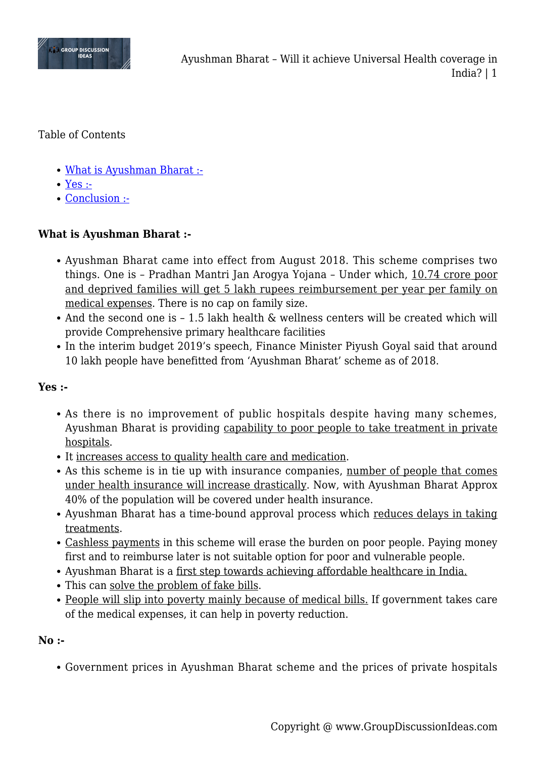

Table of Contents

- [What is Ayushman Bharat :-](#page--1-0)
- [Yes :-](#page--1-0)
- [Conclusion :-](#page--1-0)

## **What is Ayushman Bharat :-**

- Ayushman Bharat came into effect from August 2018. This scheme comprises two things. One is – Pradhan Mantri Jan Arogya Yojana – Under which, 10.74 crore poor and deprived families will get 5 lakh rupees reimbursement per year per family on medical expenses. There is no cap on family size.
- And the second one is 1.5 lakh health & wellness centers will be created which will provide Comprehensive primary healthcare facilities
- In the interim budget 2019's speech, Finance Minister Piyush Goyal said that around 10 lakh people have benefitted from 'Ayushman Bharat' scheme as of 2018.

#### **Yes :-**

- As there is no improvement of public hospitals despite having many schemes, Ayushman Bharat is providing capability to poor people to take treatment in private hospitals.
- It increases access to quality health care and medication.
- As this scheme is in tie up with insurance companies, number of people that comes under health insurance will increase drastically. Now, with Ayushman Bharat Approx 40% of the population will be covered under health insurance.
- Ayushman Bharat has a time-bound approval process which reduces delays in taking treatments.
- Cashless payments in this scheme will erase the burden on poor people. Paying money first and to reimburse later is not suitable option for poor and vulnerable people.
- Ayushman Bharat is a first step towards achieving affordable healthcare in India.
- This can solve the problem of fake bills.
- People will slip into poverty mainly because of medical bills. If government takes care of the medical expenses, it can help in poverty reduction.

#### **No :-**

Government prices in Ayushman Bharat scheme and the prices of private hospitals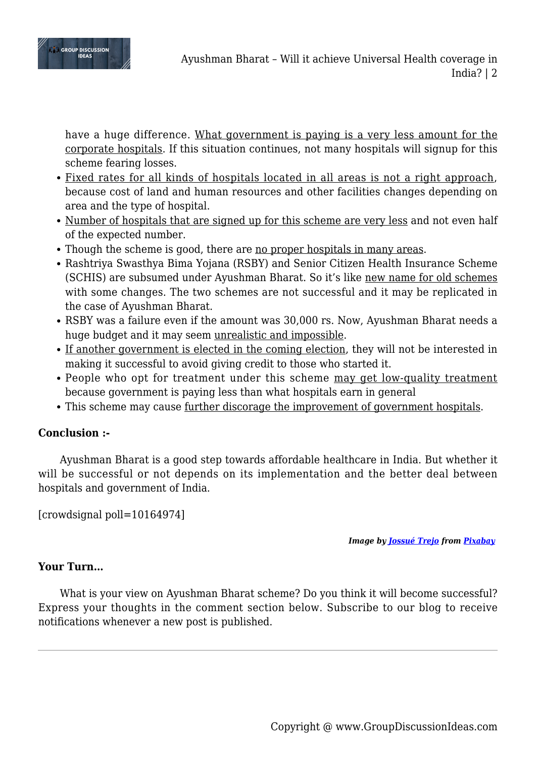

have a huge difference. What government is paying is a very less amount for the corporate hospitals. If this situation continues, not many hospitals will signup for this scheme fearing losses.

- Fixed rates for all kinds of hospitals located in all areas is not a right approach, because cost of land and human resources and other facilities changes depending on area and the type of hospital.
- Number of hospitals that are signed up for this scheme are very less and not even half of the expected number.
- Though the scheme is good, there are <u>no proper hospitals in many areas</u>.
- Rashtriya Swasthya Bima Yojana (RSBY) and Senior Citizen Health Insurance Scheme (SCHIS) are subsumed under Ayushman Bharat. So it's like new name for old schemes with some changes. The two schemes are not successful and it may be replicated in the case of Ayushman Bharat.
- RSBY was a failure even if the amount was 30,000 rs. Now, Ayushman Bharat needs a huge budget and it may seem unrealistic and impossible.
- If another government is elected in the coming election, they will not be interested in making it successful to avoid giving credit to those who started it.
- People who opt for treatment under this scheme may get low-quality treatment because government is paying less than what hospitals earn in general
- This scheme may cause <u>further discorage the improvement of government hospitals</u>.

# **Conclusion :-**

Ayushman Bharat is a good step towards affordable healthcare in India. But whether it will be successful or not depends on its implementation and the better deal between hospitals and government of India.

[crowdsignal poll=10164974]

*Image by [Jossué Trejo](https://pixabay.com/users/jossuetrejo_oficial-8361939/?utm_source=link-attribution&utm_medium=referral&utm_campaign=image&utm_content=3264979) from [Pixabay](https://pixabay.com/?utm_source=link-attribution&utm_medium=referral&utm_campaign=image&utm_content=3264979)*

## **Your Turn…**

What is your view on Ayushman Bharat scheme? Do you think it will become successful? Express your thoughts in the comment section below. Subscribe to our blog to receive notifications whenever a new post is published.